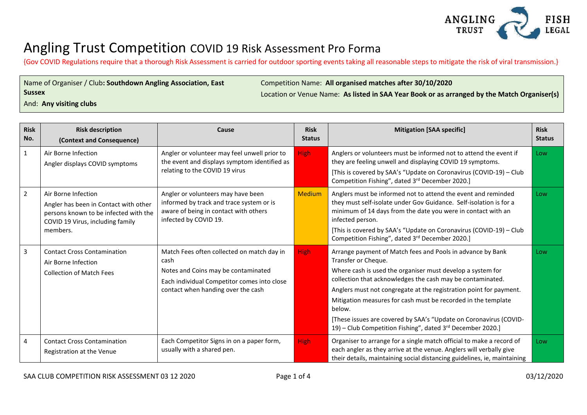

{Gov COVID Regulations require that a thorough Risk Assessment is carried for outdoor sporting events taking all reasonable steps to mitigate the risk of viral transmission.}

| Name of Organiser / Club: Southdown Angling Association, East |  |  |  |  |
|---------------------------------------------------------------|--|--|--|--|
| <b>Sussex</b>                                                 |  |  |  |  |
|                                                               |  |  |  |  |

Competition Name: **All organised matches after 30/10/2020**

Location or Venue Name: **As listed in SAA Year Book or as arranged by the Match Organiser(s)** 

And: **Any visiting clubs**

| <b>Risk</b><br>No. | <b>Risk description</b><br>(Context and Consequence)                                                                                                  | Cause                                                                                                                                                                          | <b>Risk</b><br><b>Status</b> | <b>Mitigation [SAA specific]</b>                                                                                                                                                                                                                                                                                                                                                                                                                                                                  | <b>Risk</b><br><b>Status</b> |
|--------------------|-------------------------------------------------------------------------------------------------------------------------------------------------------|--------------------------------------------------------------------------------------------------------------------------------------------------------------------------------|------------------------------|---------------------------------------------------------------------------------------------------------------------------------------------------------------------------------------------------------------------------------------------------------------------------------------------------------------------------------------------------------------------------------------------------------------------------------------------------------------------------------------------------|------------------------------|
| $\mathbf{1}$       | Air Borne Infection<br>Angler displays COVID symptoms                                                                                                 | Angler or volunteer may feel unwell prior to<br>the event and displays symptom identified as<br>relating to the COVID 19 virus                                                 | High:                        | Anglers or volunteers must be informed not to attend the event if<br>they are feeling unwell and displaying COVID 19 symptoms.<br>[This is covered by SAA's "Update on Coronavirus (COVID-19) - Club<br>Competition Fishing", dated 3rd December 2020.]                                                                                                                                                                                                                                           | Low                          |
| $\overline{2}$     | Air Borne Infection<br>Angler has been in Contact with other<br>persons known to be infected with the<br>COVID 19 Virus, including family<br>members. | Angler or volunteers may have been<br>informed by track and trace system or is<br>aware of being in contact with others<br>infected by COVID 19.                               | Medium                       | Anglers must be informed not to attend the event and reminded<br>they must self-isolate under Gov Guidance. Self-isolation is for a<br>minimum of 14 days from the date you were in contact with an<br>infected person.<br>[This is covered by SAA's "Update on Coronavirus (COVID-19) - Club<br>Competition Fishing", dated 3rd December 2020.]                                                                                                                                                  | Low                          |
| $\mathbf{3}$       | <b>Contact Cross Contamination</b><br>Air Borne Infection<br><b>Collection of Match Fees</b>                                                          | Match Fees often collected on match day in<br>cash<br>Notes and Coins may be contaminated<br>Each individual Competitor comes into close<br>contact when handing over the cash | High:                        | Arrange payment of Match fees and Pools in advance by Bank<br>Transfer or Cheque.<br>Where cash is used the organiser must develop a system for<br>collection that acknowledges the cash may be contaminated.<br>Anglers must not congregate at the registration point for payment.<br>Mitigation measures for cash must be recorded in the template<br>below.<br>[These issues are covered by SAA's "Update on Coronavirus (COVID-<br>19) – Club Competition Fishing", dated 3rd December 2020.] | Low                          |
| 4                  | <b>Contact Cross Contamination</b><br>Registration at the Venue                                                                                       | Each Competitor Signs in on a paper form,<br>usually with a shared pen.                                                                                                        | <b>High</b>                  | Organiser to arrange for a single match official to make a record of<br>each angler as they arrive at the venue. Anglers will verbally give<br>their details, maintaining social distancing guidelines, ie, maintaining                                                                                                                                                                                                                                                                           | Low                          |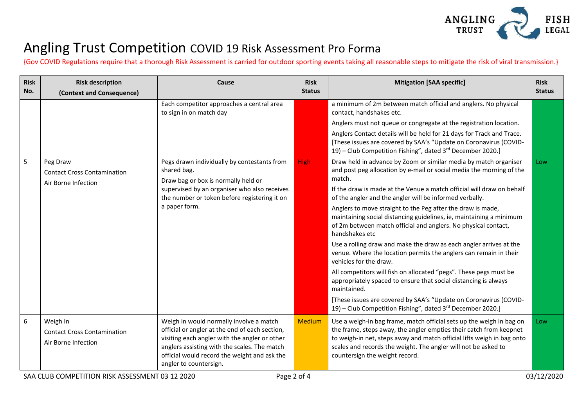

{Gov COVID Regulations require that a thorough Risk Assessment is carried for outdoor sporting events taking all reasonable steps to mitigate the risk of viral transmission.}

| <b>Risk</b><br>No. | <b>Risk description</b><br>(Context and Consequence)                  | Cause                                                                                                                                                                                                                                                                | <b>Risk</b><br><b>Status</b> | <b>Mitigation [SAA specific]</b>                                                                                                                                                                                                                                                                                         | <b>Risk</b><br><b>Status</b>                                                                                                                                                                                           |
|--------------------|-----------------------------------------------------------------------|----------------------------------------------------------------------------------------------------------------------------------------------------------------------------------------------------------------------------------------------------------------------|------------------------------|--------------------------------------------------------------------------------------------------------------------------------------------------------------------------------------------------------------------------------------------------------------------------------------------------------------------------|------------------------------------------------------------------------------------------------------------------------------------------------------------------------------------------------------------------------|
|                    |                                                                       | Each competitor approaches a central area<br>to sign in on match day                                                                                                                                                                                                 |                              | a minimum of 2m between match official and anglers. No physical<br>contact, handshakes etc.                                                                                                                                                                                                                              |                                                                                                                                                                                                                        |
|                    |                                                                       |                                                                                                                                                                                                                                                                      |                              | Anglers must not queue or congregate at the registration location.                                                                                                                                                                                                                                                       |                                                                                                                                                                                                                        |
|                    |                                                                       |                                                                                                                                                                                                                                                                      |                              | Anglers Contact details will be held for 21 days for Track and Trace.<br>[These issues are covered by SAA's "Update on Coronavirus (COVID-<br>19) - Club Competition Fishing", dated 3rd December 2020.]                                                                                                                 |                                                                                                                                                                                                                        |
| 5                  | Peg Draw<br><b>Contact Cross Contamination</b><br>Air Borne Infection | Pegs drawn individually by contestants from<br>shared bag.<br>Draw bag or box is normally held or<br>supervised by an organiser who also receives<br>the number or token before registering it on<br>a paper form.                                                   | High:                        | Draw held in advance by Zoom or similar media by match organiser<br>and post peg allocation by e-mail or social media the morning of the<br>match.                                                                                                                                                                       | Low                                                                                                                                                                                                                    |
|                    |                                                                       |                                                                                                                                                                                                                                                                      |                              | If the draw is made at the Venue a match official will draw on behalf<br>of the angler and the angler will be informed verbally.                                                                                                                                                                                         |                                                                                                                                                                                                                        |
|                    |                                                                       |                                                                                                                                                                                                                                                                      |                              |                                                                                                                                                                                                                                                                                                                          | Anglers to move straight to the Peg after the draw is made,<br>maintaining social distancing guidelines, ie, maintaining a minimum<br>of 2m between match official and anglers. No physical contact,<br>handshakes etc |
|                    |                                                                       |                                                                                                                                                                                                                                                                      |                              | Use a rolling draw and make the draw as each angler arrives at the<br>venue. Where the location permits the anglers can remain in their<br>vehicles for the draw.                                                                                                                                                        |                                                                                                                                                                                                                        |
|                    |                                                                       |                                                                                                                                                                                                                                                                      |                              | All competitors will fish on allocated "pegs". These pegs must be<br>appropriately spaced to ensure that social distancing is always<br>maintained.                                                                                                                                                                      |                                                                                                                                                                                                                        |
|                    |                                                                       |                                                                                                                                                                                                                                                                      |                              | [These issues are covered by SAA's "Update on Coronavirus (COVID-<br>19) - Club Competition Fishing", dated 3rd December 2020.]                                                                                                                                                                                          |                                                                                                                                                                                                                        |
| 6                  | Weigh In<br><b>Contact Cross Contamination</b><br>Air Borne Infection | Weigh in would normally involve a match<br>official or angler at the end of each section,<br>visiting each angler with the angler or other<br>anglers assisting with the scales. The match<br>official would record the weight and ask the<br>angler to countersign. | <b>Medium</b>                | Use a weigh-in bag frame, match official sets up the weigh in bag on<br>the frame, steps away, the angler empties their catch from keepnet<br>to weigh-in net, steps away and match official lifts weigh in bag onto<br>scales and records the weight. The angler will not be asked to<br>countersign the weight record. | Low                                                                                                                                                                                                                    |

SAA CLUB COMPETITION RISK ASSESSMENT 03 12 2020 Page 2 of 4 03/12/2020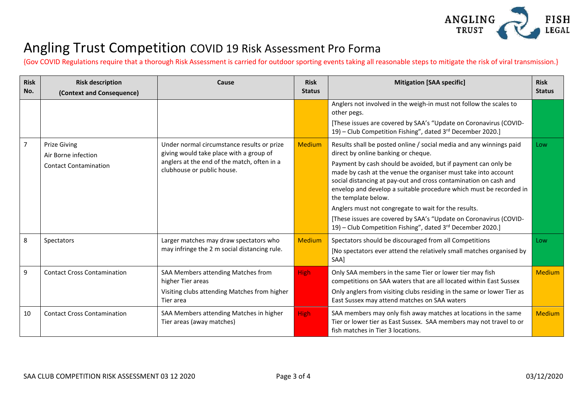

{Gov COVID Regulations require that a thorough Risk Assessment is carried for outdoor sporting events taking all reasonable steps to mitigate the risk of viral transmission.}

| <b>Risk</b><br>No. | <b>Risk description</b><br>(Context and Consequence) | Cause                                                                                                                                                              | <b>Risk</b><br><b>Status</b> | <b>Mitigation [SAA specific]</b>                                                                                                                                            | <b>Risk</b><br><b>Status</b>                                                                                                                                                                                                                                                                     |  |
|--------------------|------------------------------------------------------|--------------------------------------------------------------------------------------------------------------------------------------------------------------------|------------------------------|-----------------------------------------------------------------------------------------------------------------------------------------------------------------------------|--------------------------------------------------------------------------------------------------------------------------------------------------------------------------------------------------------------------------------------------------------------------------------------------------|--|
|                    |                                                      |                                                                                                                                                                    |                              | Anglers not involved in the weigh-in must not follow the scales to<br>other pegs.                                                                                           |                                                                                                                                                                                                                                                                                                  |  |
|                    |                                                      |                                                                                                                                                                    |                              | [These issues are covered by SAA's "Update on Coronavirus (COVID-<br>19) – Club Competition Fishing", dated 3rd December 2020.]                                             |                                                                                                                                                                                                                                                                                                  |  |
| 7                  | <b>Prize Giving</b><br>Air Borne infection           | Under normal circumstance results or prize<br>giving would take place with a group of<br>anglers at the end of the match, often in a<br>clubhouse or public house. | <b>Medium</b>                | Results shall be posted online / social media and any winnings paid<br>direct by online banking or cheque.                                                                  | Low                                                                                                                                                                                                                                                                                              |  |
|                    | <b>Contact Contamination</b>                         |                                                                                                                                                                    |                              |                                                                                                                                                                             | Payment by cash should be avoided, but if payment can only be<br>made by cash at the venue the organiser must take into account<br>social distancing at pay-out and cross contamination on cash and<br>envelop and develop a suitable procedure which must be recorded in<br>the template below. |  |
|                    |                                                      |                                                                                                                                                                    |                              | Anglers must not congregate to wait for the results.                                                                                                                        |                                                                                                                                                                                                                                                                                                  |  |
|                    |                                                      |                                                                                                                                                                    |                              |                                                                                                                                                                             | [These issues are covered by SAA's "Update on Coronavirus (COVID-<br>19) - Club Competition Fishing", dated 3rd December 2020.]                                                                                                                                                                  |  |
| 8                  | Spectators                                           | Larger matches may draw spectators who<br>may infringe the 2 m social distancing rule.                                                                             | <b>Medium</b>                | Spectators should be discouraged from all Competitions                                                                                                                      | Low                                                                                                                                                                                                                                                                                              |  |
|                    |                                                      |                                                                                                                                                                    |                              | [No spectators ever attend the relatively small matches organised by<br>SAA]                                                                                                |                                                                                                                                                                                                                                                                                                  |  |
| 9                  | <b>Contact Cross Contamination</b>                   | SAA Members attending Matches from<br>higher Tier areas                                                                                                            | <b>High</b>                  | Only SAA members in the same Tier or lower tier may fish<br>competitions on SAA waters that are all located within East Sussex                                              | <b>Medium</b>                                                                                                                                                                                                                                                                                    |  |
|                    |                                                      | Visiting clubs attending Matches from higher<br>Tier area                                                                                                          |                              | Only anglers from visiting clubs residing in the same or lower Tier as<br>East Sussex may attend matches on SAA waters                                                      |                                                                                                                                                                                                                                                                                                  |  |
| 10                 | <b>Contact Cross Contamination</b>                   | SAA Members attending Matches in higher<br>Tier areas (away matches)                                                                                               | High:                        | SAA members may only fish away matches at locations in the same<br>Tier or lower tier as East Sussex. SAA members may not travel to or<br>fish matches in Tier 3 locations. | <b>Medium</b>                                                                                                                                                                                                                                                                                    |  |